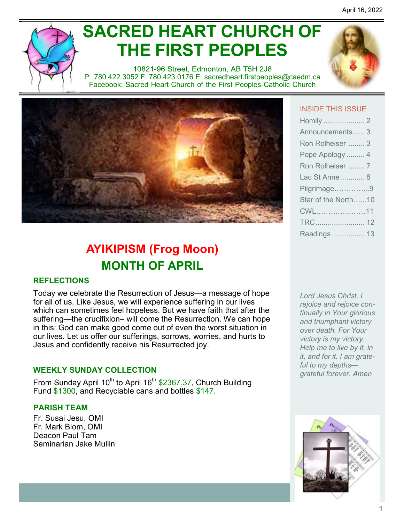# **SACRED HEART CHURCH OF THE FIRST PEOPLES**

10821-96 Street, Edmonton, AB T5H 2J8 P: 780.422.3052 F: 780.423.0176 E: [sacredheart.](mailto:sacredheart.firstpeoples@caedm.ca)firstpeoples@caedm.ca Facebook: Sacred Heart Church of the First Peoples-Catholic Church



# **AYIKIPISM (Frog Moon) MONTH OF APRIL**

#### **REFLECTIONS**

Today we celebrate the Resurrection of Jesus—a message of hope for all of us. Like Jesus, we will experience suffering in our lives which can sometimes feel hopeless. But we have faith that after the suffering—the crucifixion– will come the Resurrection. We can hope in this: God can make good come out of even the worst situation in our lives. Let us offer our sufferings, sorrows, worries, and hurts to Jesus and confidently receive his Resurrected joy.

#### **WEEKLY SUNDAY COLLECTION**

From Sunday April 10<sup>th</sup> to April 16<sup>th</sup> \$2367.37, Church Building Fund \$1300, and Recyclable cans and bottles \$147.

#### **PARISH TEAM**

Fr. Susai Jesu, OMI Fr. Mark Blom, OMI Deacon Paul Tam Seminarian Jake Mullin

#### INSIDE THIS ISSUE

| Announcements 3     |
|---------------------|
| Ron Rolheiser  3    |
| Pope Apology  4     |
| Ron Rolheiser  7    |
| Lac St Anne 8       |
| Pilgrimage9         |
| Star of the North10 |
| CWL11               |
|                     |
| Readings  13        |

*Lord Jesus Christ, I rejoice and rejoice continually in Your glorious and triumphant victory over death. For Your victory is my victory. Help me to live by it, in it, and for it. I am grateful to my depths grateful forever. Amen*

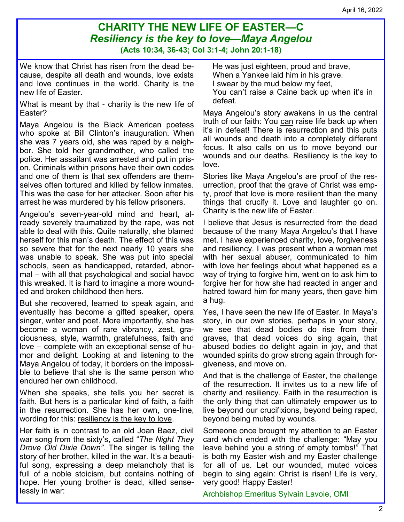### **CHARITY THE NEW LIFE OF EASTER—C** *Resiliency is the key to love—Maya Angelou* **(Acts 10:34, 36-43; Col 3:1-4; John 20:1-18)**

We know that Christ has risen from the dead because, despite all death and wounds, love exists and love continues in the world. Charity is the new life of Easter.

What is meant by that - charity is the new life of Easter?

Maya Angelou is the Black American poetess who spoke at Bill Clinton's inauguration. When she was 7 years old, she was raped by a neighbor. She told her grandmother, who called the police. Her assailant was arrested and put in prison. Criminals within prisons have their own codes and one of them is that sex offenders are themselves often tortured and killed by fellow inmates. This was the case for her attacker. Soon after his arrest he was murdered by his fellow prisoners.

Angelou's seven-year-old mind and heart, already severely traumatized by the rape, was not able to deal with this. Quite naturally, she blamed herself for this man's death. The effect of this was so severe that for the next nearly 10 years she was unable to speak. She was put into special schools, seen as handicapped, retarded, abnormal – with all that psychological and social havoc this wreaked. It is hard to imagine a more wounded and broken childhood then hers.

But she recovered, learned to speak again, and eventually has become a gifted speaker, opera singer, writer and poet. More importantly, she has become a woman of rare vibrancy, zest, graciousness, style, warmth, gratefulness, faith and love – complete with an exceptional sense of humor and delight. Looking at and listening to the Maya Angelou of today, it borders on the impossible to believe that she is the same person who endured her own childhood.

When she speaks, she tells you her secret is faith. But hers is a particular kind of faith, a faith in the resurrection. She has her own, one-line, wording for this: resiliency is the key to love.

Her faith is in contrast to an old Joan Baez, civil war song from the sixty's, called "*The Night They Drove Old Dixie Down"*. The singer is telling the story of her brother, killed in the war. It's a beautiful song, expressing a deep melancholy that is full of a noble stoicism, but contains nothing of hope. Her young brother is dead, killed senselessly in war:

He was just eighteen, proud and brave, When a Yankee laid him in his grave. I swear by the mud below my feet, You can't raise a Caine back up when it's in defeat.

Maya Angelou's story awakens in us the central truth of our faith: You can raise life back up when it's in defeat! There is resurrection and this puts all wounds and death into a completely different focus. It also calls on us to move beyond our wounds and our deaths. Resiliency is the key to love.

Stories like Maya Angelou's are proof of the resurrection, proof that the grave of Christ was empty, proof that love is more resilient than the many things that crucify it. Love and laughter go on. Charity is the new life of Easter.

I believe that Jesus is resurrected from the dead because of the many Maya Angelou's that I have met. I have experienced charity, love, forgiveness and resiliency. I was present when a woman met with her sexual abuser, communicated to him with love her feelings about what happened as a way of trying to forgive him, went on to ask him to forgive her for how she had reacted in anger and hatred toward him for many years, then gave him a hug.

Yes, I have seen the new life of Easter. In Maya's story, in our own stories, perhaps in your story, we see that dead bodies do rise from their graves, that dead voices do sing again, that abused bodies do delight again in joy, and that wounded spirits do grow strong again through forgiveness, and move on.

And that is the challenge of Easter, the challenge of the resurrection. It invites us to a new life of charity and resiliency. Faith in the resurrection is the only thing that can ultimately empower us to live beyond our crucifixions, beyond being raped, beyond being muted by wounds.

Someone once brought my attention to an Easter card which ended with the challenge: "May you leave behind you a string of empty tombs!" That is both my Easter wish and my Easter challenge for all of us. Let our wounded, muted voices begin to sing again: Christ is risen! Life is very, very good! Happy Easter!

Archbishop Emeritus Sylvain Lavoie, OMI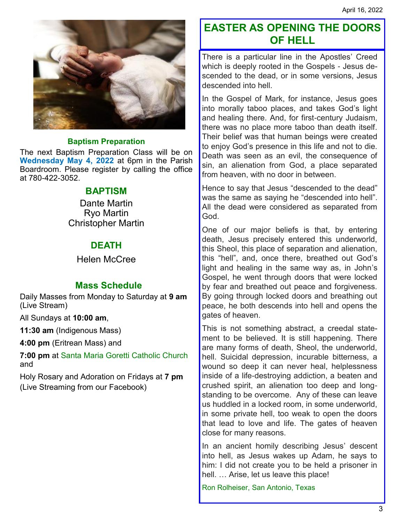

#### **Baptism Preparation**

The next Baptism Preparation Class will be on **Wednesday May 4, 2022** at 6pm in the Parish Boardroom. Please register by calling the office at 780-422-3052.

#### **BAPTISM**

Dante Martin Ryo Martin Christopher Martin

#### **DEATH**

Helen McCree

#### **Mass Schedule**

Daily Masses from Monday to Saturday at **9 am** (Live Stream)

All Sundays at **10:00 am**,

**11:30 am** (Indigenous Mass)

**4:00 pm** (Eritrean Mass) and

**7:00 pm** at Santa Maria Goretti Catholic Church and

Holy Rosary and Adoration on Fridays at **7 pm**  (Live Streaming from our Facebook)

## **EASTER AS OPENING THE DOORS OF HELL**

There is a particular line in the Apostles' Creed which is deeply rooted in the Gospels - Jesus descended to the dead, or in some versions, Jesus descended into hell.

In the Gospel of Mark, for instance, Jesus goes into morally taboo places, and takes God's light and healing there. And, for first-century Judaism, there was no place more taboo than death itself. Their belief was that human beings were created to enjoy God's presence in this life and not to die. Death was seen as an evil, the consequence of sin, an alienation from God, a place separated from heaven, with no door in between.

Hence to say that Jesus "descended to the dead" was the same as saying he "descended into hell". All the dead were considered as separated from God.

One of our major beliefs is that, by entering death, Jesus precisely entered this underworld, this Sheol, this place of separation and alienation, this "hell", and, once there, breathed out God's light and healing in the same way as, in John's Gospel, he went through doors that were locked by fear and breathed out peace and forgiveness. By going through locked doors and breathing out peace, he both descends into hell and opens the gates of heaven.

This is not something abstract, a creedal statement to be believed. It is still happening. There are many forms of death, Sheol, the underworld, hell. Suicidal depression, incurable bitterness, a wound so deep it can never heal, helplessness inside of a life-destroying addiction, a beaten and crushed spirit, an alienation too deep and longstanding to be overcome. Any of these can leave us huddled in a locked room, in some underworld, in some private hell, too weak to open the doors that lead to love and life. The gates of heaven close for many reasons.

In an ancient homily describing Jesus' descent into hell, as Jesus wakes up Adam, he says to him: I did not create you to be held a prisoner in hell. … Arise, let us leave this place!

Ron Rolheiser, San Antonio, Texas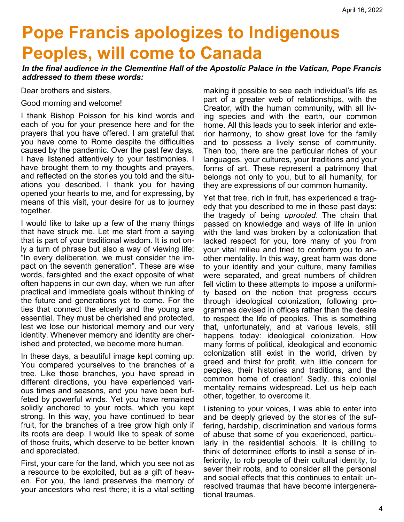# **Pope Francis apologizes to Indigenous Peoples, will come to Canada**

*In the final audience in the Clementine Hall of the Apostolic Palace in the Vatican, Pope Francis addressed to them these words:*

Dear brothers and sisters,

Good morning and welcome!

I thank Bishop Poisson for his kind words and each of you for your presence here and for the prayers that you have offered. I am grateful that you have come to Rome despite the difficulties caused by the pandemic. Over the past few days, I have listened attentively to your testimonies. I have brought them to my thoughts and prayers, and reflected on the stories you told and the situations you described. I thank you for having opened your hearts to me, and for expressing, by means of this visit, your desire for us to journey together.

I would like to take up a few of the many things that have struck me. Let me start from a saying that is part of your traditional wisdom. It is not only a turn of phrase but also a way of viewing life: "In every deliberation, we must consider the impact on the seventh generation". These are wise words, farsighted and the exact opposite of what often happens in our own day, when we run after practical and immediate goals without thinking of the future and generations yet to come. For the ties that connect the elderly and the young are essential. They must be cherished and protected, lest we lose our historical memory and our very identity. Whenever memory and identity are cherished and protected, we become more human.

In these days, a beautiful image kept coming up. You compared yourselves to the branches of a tree. Like those branches, you have spread in different directions, you have experienced various times and seasons, and you have been buffeted by powerful winds. Yet you have remained solidly anchored to your roots, which you kept strong. In this way, you have continued to bear fruit, for the branches of a tree grow high only if its roots are deep. I would like to speak of some of those fruits, which deserve to be better known and appreciated.

First, your care for the land, which you see not as a resource to be exploited, but as a gift of heaven. For you, the land preserves the memory of your ancestors who rest there; it is a vital setting

making it possible to see each individual's life as part of a greater web of relationships, with the Creator, with the human community, with all living species and with the earth, our common home. All this leads you to seek interior and exterior harmony, to show great love for the family and to possess a lively sense of community. Then too, there are the particular riches of your languages, your cultures, your traditions and your forms of art. These represent a patrimony that belongs not only to you, but to all humanity, for they are expressions of our common humanity.

Yet that tree, rich in fruit, has experienced a tragedy that you described to me in these past days: the tragedy of being *uprooted*. The chain that passed on knowledge and ways of life in union with the land was broken by a colonization that lacked respect for you, tore many of you from your vital milieu and tried to conform you to another mentality. In this way, great harm was done to your identity and your culture, many families were separated, and great numbers of children fell victim to these attempts to impose a uniformity based on the notion that progress occurs through ideological colonization, following programmes devised in offices rather than the desire to respect the life of peoples. This is something that, unfortunately, and at various levels, still happens today: ideological colonization. How many forms of political, ideological and economic colonization still exist in the world, driven by greed and thirst for profit, with little concern for peoples, their histories and traditions, and the common home of creation! Sadly, this colonial mentality remains widespread. Let us help each other, together, to overcome it.

Listening to your voices, I was able to enter into and be deeply grieved by the stories of the suffering, hardship, discrimination and various forms of abuse that some of you experienced, particularly in the residential schools. It is chilling to think of determined efforts to instil a sense of inferiority, to rob people of their cultural identity, to sever their roots, and to consider all the personal and social effects that this continues to entail: unresolved traumas that have become intergenerational traumas.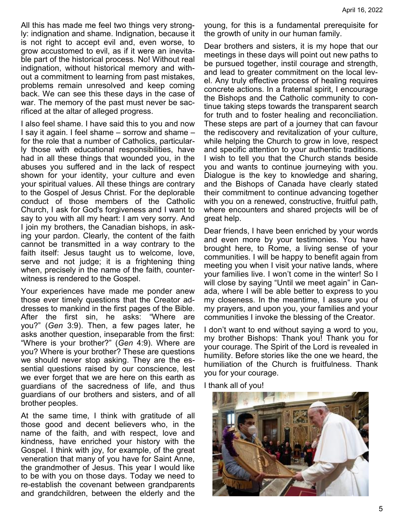All this has made me feel two things very strongly: indignation and shame. Indignation, because it is not right to accept evil and, even worse, to grow accustomed to evil, as if it were an inevitable part of the historical process. No! Without real indignation, without historical memory and without a commitment to learning from past mistakes, problems remain unresolved and keep coming back. We can see this these days in the case of war. The memory of the past must never be sacrificed at the altar of alleged progress.

I also feel shame. I have said this to you and now I say it again. I feel shame – sorrow and shame – for the role that a number of Catholics, particularly those with educational responsibilities, have had in all these things that wounded you, in the abuses you suffered and in the lack of respect shown for your identity, your culture and even your spiritual values. All these things are contrary to the Gospel of Jesus Christ. For the deplorable conduct of those members of the Catholic Church, I ask for God's forgiveness and I want to say to you with all my heart: I am very sorry. And I join my brothers, the Canadian bishops, in asking your pardon. Clearly, the content of the faith cannot be transmitted in a way contrary to the faith itself: Jesus taught us to welcome, love, serve and not judge; it is a frightening thing when, precisely in the name of the faith, counterwitness is rendered to the Gospel.

Your experiences have made me ponder anew those ever timely questions that the Creator addresses to mankind in the first pages of the Bible. After the first sin, he asks: "Where are you?" (*Gen* 3:9). Then, a few pages later, he asks another question, inseparable from the first: "Where is your brother?" (*Gen* 4:9). Where are you? Where is your brother? These are questions we should never stop asking. They are the essential questions raised by our conscience, lest we ever forget that we are here on this earth as guardians of the sacredness of life, and thus guardians of our brothers and sisters, and of all brother peoples.

At the same time, I think with gratitude of all those good and decent believers who, in the name of the faith, and with respect, love and kindness, have enriched your history with the Gospel. I think with joy, for example, of the great veneration that many of you have for Saint Anne, the grandmother of Jesus. This year I would like to be with you on those days. Today we need to re-establish the covenant between grandparents and grandchildren, between the elderly and the

young, for this is a fundamental prerequisite for the growth of unity in our human family.

Dear brothers and sisters, it is my hope that our meetings in these days will point out new paths to be pursued together, instil courage and strength, and lead to greater commitment on the local level. Any truly effective process of healing requires concrete actions. In a fraternal spirit, I encourage the Bishops and the Catholic community to continue taking steps towards the transparent search for truth and to foster healing and reconciliation. These steps are part of a journey that can favour the rediscovery and revitalization of your culture, while helping the Church to grow in love, respect and specific attention to your authentic traditions. I wish to tell you that the Church stands beside you and wants to continue journeying with you. Dialogue is the key to knowledge and sharing, and the Bishops of Canada have clearly stated their commitment to continue advancing together with you on a renewed, constructive, fruitful path, where encounters and shared projects will be of great help.

Dear friends, I have been enriched by your words and even more by your testimonies. You have brought here, to Rome, a living sense of your communities. I will be happy to benefit again from meeting you when I visit your native lands, where your families live. I won't come in the winter! So I will close by saying "Until we meet again" in Canada, where I will be able better to express to you my closeness. In the meantime, I assure you of my prayers, and upon you, your families and your communities I invoke the blessing of the Creator.

I don't want to end without saying a word to you, my brother Bishops: Thank you! Thank you for your courage. The Spirit of the Lord is revealed in humility. Before stories like the one we heard, the humiliation of the Church is fruitfulness. Thank you for your courage.

I thank all of you!

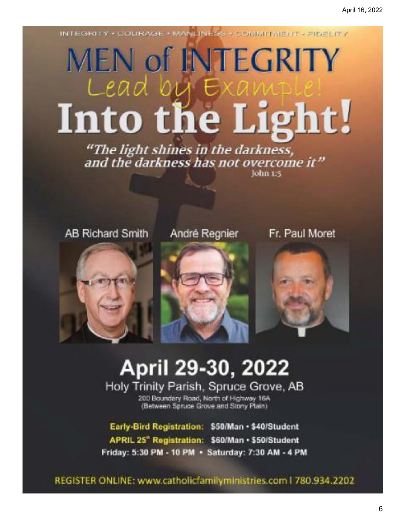INTEGRITY + COURAGE + MANLINEGS - COMMITMENT + FINELITY

# **MEN of INTEGRITY** Lead by Into the Light!

"The light shines in the darkness, and the darkness has not overcome it" John 1:5

**AB Richard Smith** 

## André Regnier

Fr. Paul Moret







# April 29-30, 2022

Holy Trinity Parish, Spruce Grove, AB

200 Boundary Road, North of Highway 16A (Between Spruce Grove and Stony Plain)

Early-Bird Registration: \$50/Man · \$40/Student APRIL 25" Registration: \$60/Man · \$50/Student Friday: 5:30 PM - 10 PM · Saturday: 7:30 AM - 4 PM

REGISTER ONLINE: www.catholicfamilyministries.com | 780.934.2202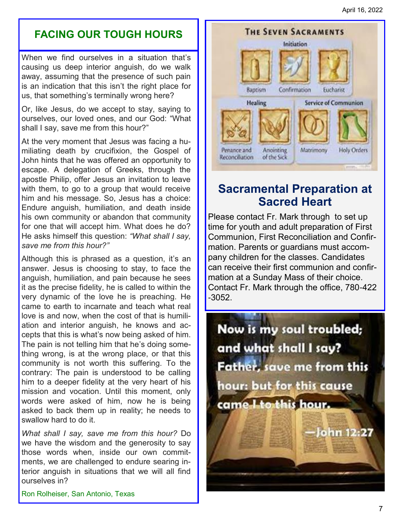## **FACING OUR TOUGH HOURS**

When we find ourselves in a situation that's causing us deep interior anguish, do we walk away, assuming that the presence of such pain is an indication that this isn't the right place for us, that something's terminally wrong here?

Or, like Jesus, do we accept to stay, saying to ourselves, our loved ones, and our God: "What shall I say, save me from this hour?"

At the very moment that Jesus was facing a humiliating death by crucifixion, the Gospel of John hints that he was offered an opportunity to escape. A delegation of Greeks, through the apostle Philip, offer Jesus an invitation to leave with them, to go to a group that would receive him and his message. So, Jesus has a choice: Endure anguish, humiliation, and death inside his own community or abandon that community for one that will accept him. What does he do? He asks himself this question: *"What shall I say, save me from this hour?"*

Although this is phrased as a question, it's an answer. Jesus is choosing to stay, to face the anguish, humiliation, and pain because he sees it as the precise fidelity, he is called to within the very dynamic of the love he is preaching. He came to earth to incarnate and teach what real love is and now, when the cost of that is humiliation and interior anguish, he knows and accepts that this is what's now being asked of him. The pain is not telling him that he's doing something wrong, is at the wrong place, or that this community is not worth this suffering. To the contrary: The pain is understood to be calling him to a deeper fidelity at the very heart of his mission and vocation. Until this moment, only words were asked of him, now he is being asked to back them up in reality; he needs to swallow hard to do it.

*What shall I say, save me from this hour?* Do we have the wisdom and the generosity to say those words when, inside our own commitments, we are challenged to endure searing interior anguish in situations that we will all find ourselves in?

Ron Rolheiser, San Antonio, Texas



# **Sacramental Preparation at Sacred Heart**

Please contact Fr. Mark through to set up time for youth and adult preparation of First Communion, First Reconciliation and Confirmation. Parents or guardians must accompany children for the classes. Candidates can receive their first communion and confirmation at a Sunday Mass of their choice. Contact Fr. Mark through the office, 780-422 -3052.

Now is my soul troubled; and what shall I say? Father, save me from this hour: but for this cause came I to this hour. John 12:27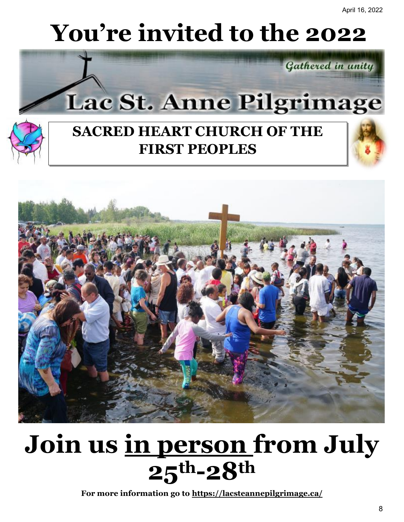# **You're invited to the 2022**





# **SACRED HEART CHURCH OF THE FIRST PEOPLES**



# **Join us in person from July 25th-28th**

**For more information go to https://lacsteannepilgrimage.ca/**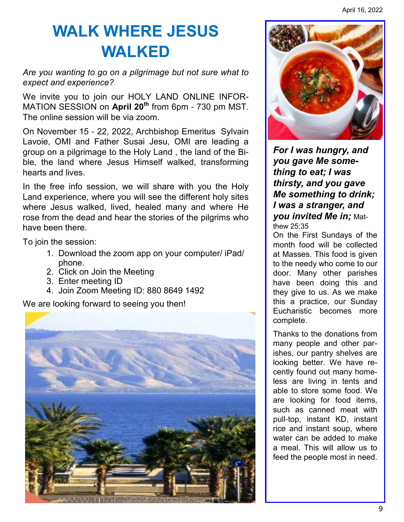# **WALK WHERE JESUS WALKED**

*Are you wanting to go on a pilgrimage but not sure what to expect and experience?* 

We invite you to join our HOLY LAND ONLINE INFOR-MATION SESSION on **April 20th** from 6pm - 730 pm MST. The online session will be via zoom.

On November 15 - 22, 2022, Archbishop Emeritus Sylvain Lavoie, OMI and Father Susai Jesu, OMI are leading a group on a pilgrimage to the Holy Land , the land of the Bible, the land where Jesus Himself walked, transforming hearts and lives.

In the free info session, we will share with you the Holy Land experience, where you will see the different holy sites where Jesus walked, lived, healed many and where He rose from the dead and hear the stories of the pilgrims who have been there.

To join the session:

- 1. Download the zoom app on your computer/ iPad/ phone.
- 2. Click on Join the Meeting
- 3. Enter meeting ID
- 4. Join Zoom Meeting ID: 880 8649 1492

We are looking forward to seeing you then!





*For I was hungry, and you gave Me something to eat; I was thirsty, and you gave Me something to drink; I was a stranger, and you invited Me in;* Matthew 25:35

On the First Sundays of the month food will be collected at Masses. This food is given to the needy who come to our door. Many other parishes have been doing this and they give to us. As we make this a practice, our Sunday Eucharistic becomes more complete.

Thanks to the donations from many people and other parishes, our pantry shelves are looking better. We have recently found out many homeless are living in tents and able to store some food. We are looking for food items, such as canned meat with pull-top, instant KD, instant rice and instant soup, where water can be added to make a meal. This will allow us to feed the people most in need.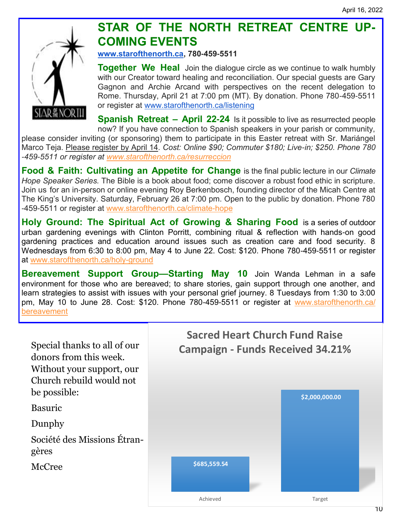

# **STAR OF THE NORTH RETREAT CENTRE UP-COMING EVENTS**

**[www.starofthenorth.ca,](http://www.starofthenorth.ca/) 780-459-5511**

**Together We Heal** Join the dialogue circle as we continue to walk humbly with our Creator toward healing and reconciliation. Our special guests are Gary Gagnon and Archie Arcand with perspectives on the recent delegation to Rome. Thursday, April 21 at 7:00 pm (MT). By donation. Phone 780-459-5511 or register at [www.starofthenorth.ca/listening](http://www.starofthenorth.ca/listening)

**Spanish Retreat – April 22-24** Is it possible to live as resurrected people now? If you have connection to Spanish speakers in your parish or community, please consider inviting (or sponsoring) them to participate in this Easter retreat with Sr. Mariángel Marco Teja. Please register by April 14*. Cost: Online \$90; Commuter \$180; Live-in; \$250. Phone 780 -459-5511 or register at [www.starofthenorth.ca/resurreccion](http://www.starofthenorth.ca/resurreccion)*

**Food & Faith: Cultivating an Appetite for Change** is the final public lecture in our *Climate Hope Speaker Series.* The Bible is a book about food; come discover a robust food ethic in scripture. Join us for an in-person or online evening Roy Berkenbosch, founding director of the Micah Centre at The King's University. Saturday, February 26 at 7:00 pm. Open to the public by donation. Phone 780 -459-5511 or register at [www.starofthenorth.ca/climate-hope](http://www.starofthenorth.ca/climate-hope)

**Holy Ground: The Spiritual Act of Growing & Sharing Food** is a series of outdoor urban gardening evenings with Clinton Porritt, combining ritual & reflection with hands-on good gardening practices and education around issues such as creation care and food security. 8 Wednesdays from 6:30 to 8:00 pm, May 4 to June 22. Cost: \$120. Phone 780-459-5511 or register at [www.starofthenorth.ca/holy-ground](http://www.starofthenorth.ca/holy-ground)

**Bereavement Support Group—Starting May 10** Join Wanda Lehman in a safe environment for those who are bereaved; to share stories, gain support through one another, and learn strategies to assist with issues with your personal grief journey. 8 Tuesdays from 1:30 to 3:00 pm, May 10 to June 28. Cost: \$120. Phone 780-459-5511 or register at [www.starofthenorth.ca/](http://www.starofthenorth.ca/bereavement) [bereavement](http://www.starofthenorth.ca/bereavement)

Special thanks to all of our donors from this week. Without your support, our Church rebuild would not be possible: Basuric Dunphy Société des Missions Étrangères McCree **\$685,559.54 \$2,000,000.00 Sacred Heart Church Fund Raise Campaign - Funds Received 34.21%**

Achieved Target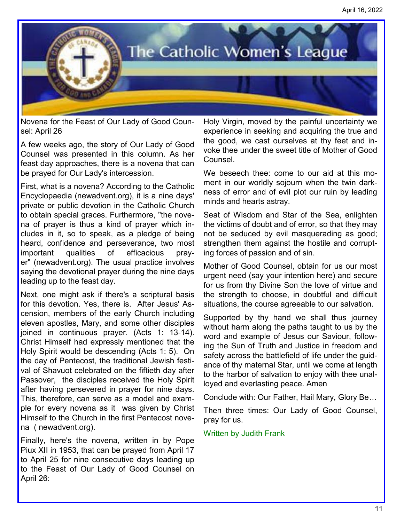

Novena for the Feast of Our Lady of Good Counsel: April 26

A few weeks ago, the story of Our Lady of Good Counsel was presented in this column. As her feast day approaches, there is a novena that can be prayed for Our Lady's intercession.

First, what is a novena? According to the Catholic Encyclopaedia (newadvent.org), it is a nine days' private or public devotion in the Catholic Church to obtain special graces. Furthermore, "the novena of prayer is thus a kind of prayer which includes in it, so to speak, as a pledge of being heard, confidence and perseverance, two most important qualities of efficacious prayer" (newadvent.org). The usual practice involves saying the devotional prayer during the nine days leading up to the feast day.

Next, one might ask if there's a scriptural basis for this devotion. Yes, there is. After Jesus' Ascension, members of the early Church including eleven apostles, Mary, and some other disciples joined in continuous prayer. (Acts 1: 13-14). Christ Himself had expressly mentioned that the Holy Spirit would be descending (Acts 1: 5). On the day of Pentecost, the traditional Jewish festival of Shavuot celebrated on the fiftieth day after Passover, the disciples received the Holy Spirit after having persevered in prayer for nine days. This, therefore, can serve as a model and example for every novena as it was given by Christ Himself to the Church in the first Pentecost novena ( newadvent.org).

Finally, here's the novena, written in by Pope Piux XII in 1953, that can be prayed from April 17 to April 25 for nine consecutive days leading up to the Feast of Our Lady of Good Counsel on April 26:

Holy Virgin, moved by the painful uncertainty we experience in seeking and acquiring the true and the good, we cast ourselves at thy feet and invoke thee under the sweet title of Mother of Good Counsel.

We beseech thee: come to our aid at this moment in our worldly sojourn when the twin darkness of error and of evil plot our ruin by leading minds and hearts astray.

Seat of Wisdom and Star of the Sea, enlighten the victims of doubt and of error, so that they may not be seduced by evil masquerading as good; strengthen them against the hostile and corrupting forces of passion and of sin.

Mother of Good Counsel, obtain for us our most urgent need (say your intention here) and secure for us from thy Divine Son the love of virtue and the strength to choose, in doubtful and difficult situations, the course agreeable to our salvation.

Supported by thy hand we shall thus journey without harm along the paths taught to us by the word and example of Jesus our Saviour, following the Sun of Truth and Justice in freedom and safety across the battlefield of life under the guidance of thy maternal Star, until we come at length to the harbor of salvation to enjoy with thee unalloyed and everlasting peace. Amen

Conclude with: Our Father, Hail Mary, Glory Be…

Then three times: Our Lady of Good Counsel, pray for us.

#### Written by Judith Frank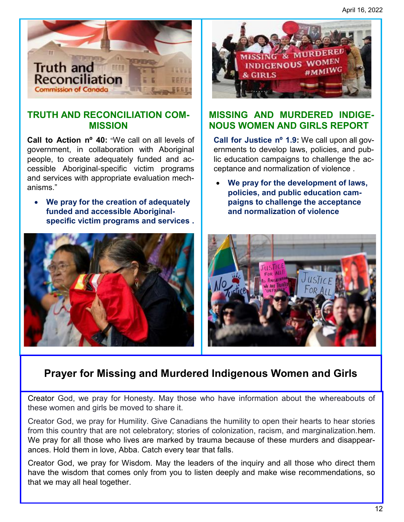April 16, 2022



#### **TRUTH AND RECONCILIATION COM-MISSION**

**Call to Action nº 40:** "We call on all levels of government, in collaboration with Aboriginal people, to create adequately funded and accessible Aboriginal-specific victim programs and services with appropriate evaluation mechanisms."

• **We pray for the creation of adequately funded and accessible Aboriginalspecific victim programs and services .**



### **MISSING AND MURDERED INDIGE-NOUS WOMEN AND GIRLS REPORT**

**Call for Justice nº 1.9:** We call upon all governments to develop laws, policies, and public education campaigns to challenge the acceptance and normalization of violence .

• **We pray for the development of laws, policies, and public education campaigns to challenge the acceptance and normalization of violence**



# **Prayer for Missing and Murdered Indigenous Women and Girls**

Creator God, we pray for Honesty. May those who have information about the whereabouts of these women and girls be moved to share it.

Creator God, we pray for Humility. Give Canadians the humility to open their hearts to hear stories from this country that are not celebratory; stories of colonization, racism, and marginalization.hem. We pray for all those who lives are marked by trauma because of these murders and disappearances. Hold them in love, Abba. Catch every tear that falls.

Creator God, we pray for Wisdom. May the leaders of the inquiry and all those who direct them have the wisdom that comes only from you to listen deeply and make wise recommendations, so that we may all heal together.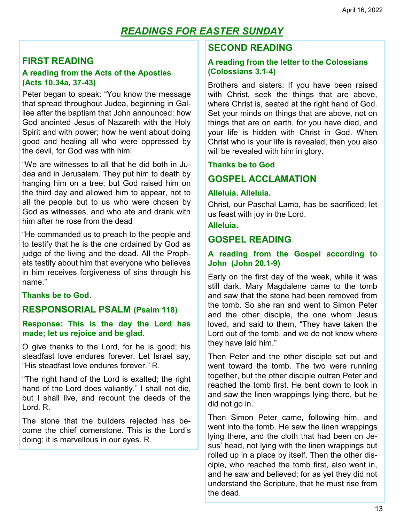### *READINGS FOR EASTER SUNDAY*

#### **FIRST READING**

#### **A reading from the Acts of the Apostles (Acts 10.34a, 37-43)**

Peter began to speak: "You know the message that spread throughout Judea, beginning in Galilee after the baptism that John announced: how God anointed Jesus of Nazareth with the Holy Spirit and with power; how he went about doing good and healing all who were oppressed by the devil, for God was with him.

"We are witnesses to all that he did both in Judea and in Jerusalem. They put him to death by hanging him on a tree; but God raised him on the third day and allowed him to appear, not to all the people but to us who were chosen by God as witnesses, and who ate and drank with him after he rose from the dead

"He commanded us to preach to the people and to testify that he is the one ordained by God as judge of the living and the dead. All the Prophets testify about him that everyone who believes in him receives forgiveness of sins through his name."

#### **Thanks be to God**.

#### **RESPONSORIAL PSALM (Psalm 118)**

#### **Response: This is the day the Lord has made; let us rejoice and be glad.**

O give thanks to the Lord, for he is good; his steadfast love endures forever. Let Israel say, "His steadfast love endures forever." R.

"The right hand of the Lord is exalted; the right hand of the Lord does valiantly." I shall not die, but I shall live, and recount the deeds of the Lord. R.

The stone that the builders rejected has become the chief cornerstone. This is the Lord's doing; it is marvellous in our eyes. R.

#### **SECOND READING**

#### **A reading from the letter to the Colossians (Colossians 3.1-4)**

Brothers and sisters: If you have been raised with Christ, seek the things that are above, where Christ is, seated at the right hand of God. Set your minds on things that are above, not on things that are on earth, for you have died, and your life is hidden with Christ in God. When Christ who is your life is revealed, then you also will be revealed with him in glory.

#### **Thanks be to God**

#### **GOSPEL ACCLAMATION**

#### **Alleluia. Alleluia.**

Christ, our Paschal Lamb, has be sacrificed; let us feast with joy in the Lord.

#### **Alleluia.**

#### **GOSPEL READING**

#### **A reading from the Gospel according to John (John 20.1-9)**

Early on the first day of the week, while it was still dark, Mary Magdalene came to the tomb and saw that the stone had been removed from the tomb. So she ran and went to Simon Peter and the other disciple, the one whom Jesus loved, and said to them, "They have taken the Lord out of the tomb, and we do not know where they have laid him."

Then Peter and the other disciple set out and went toward the tomb. The two were running together, but the other disciple outran Peter and reached the tomb first. He bent down to look in and saw the linen wrappings lying there, but he did not go in.

Then Simon Peter came, following him, and went into the tomb. He saw the linen wrappings lying there, and the cloth that had been on Jesus' head, not lying with the linen wrappings but rolled up in a place by itself. Then the other disciple, who reached the tomb first, also went in, and he saw and believed; for as yet they did not understand the Scripture, that he must rise from the dead.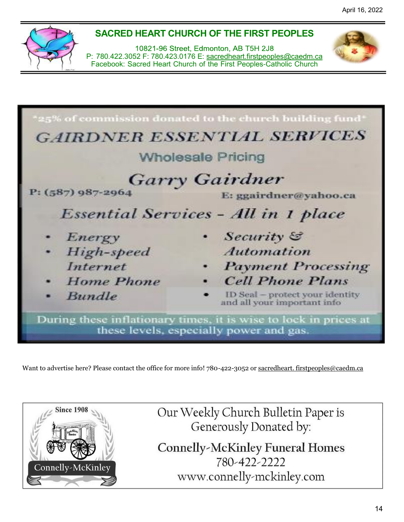## **SACRED HEART CHURCH OF THE FIRST PEOPLES**

10821-96 Street, Edmonton, AB T5H 2J8 P: 780.422.3052 F: 780.423.0176 E: [sacredheart](mailto:sacredheart.firstpeoples@caedm.ca)[.firstpeoples@caedm.ca](mailto:t.firstpeoples@caedm.ca) Facebook: Sacred Heart Church of the First Peoples-Catholic Church



Want to advertise here? Please contact the office for more info! 780-422-3052 or sacredheart. firstpeoples@caedm.ca



Our Weekly Church Bulletin Paper is Generously Donated by:

**Connelly-McKinley Funeral Homes** 780-422-2222 www.connelly-mckinley.com